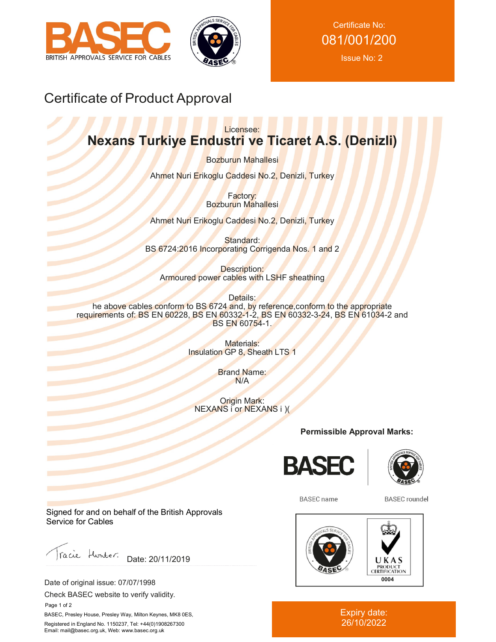



Certificate No: 081/001/200 Issue No: 2

# Certificate of Product Approval

### Licensee: **Nexans Turkiye Endustri ve Ticaret A.S. (Denizli)**

Bozburun Mahallesi

Ahmet Nuri Erikoglu Caddesi No.2, Denizli, Turkey

Factory: Bozburun Mahallesi

Ahmet Nuri Erikoglu Caddesi No.2, Denizli, Turkey

Standard: BS 6724:2016 Incorporating Corrigenda Nos. 1 and 2

Description: Armoured power cables with LSHF sheathing

Details: he above cables conform to BS 6724 and, by reference, conform to the appropriate requirements of: BS EN 60228, BS EN 60332-1-2, BS EN 60332-3-24, BS EN 61034-2 and BS EN 60754-1.

> Materials: Insulation GP 8, Sheath LTS 1

> > Brand Name: N/A

Origin Mark: NEXANS i or NEXANS i )(

**Permissible Approval Marks:**





**BASEC** name

**BASEC** roundel



Expiry date: 26/10/2022

Signed for and on behalf of the British Approvals Service for Cables

Facie Hunter. Date: 20/11/2019

Date of original issue: 07/07/1998

Check BASEC website to verify validity.

 Page 1 of 2 BASEC, Presley House, Presley Way, Milton Keynes, MK8 0ES, Registered in England No. 1150237, Tel: +44(0)1908267300

Email: mail@basec.org.uk, Web: www.basec.org.uk